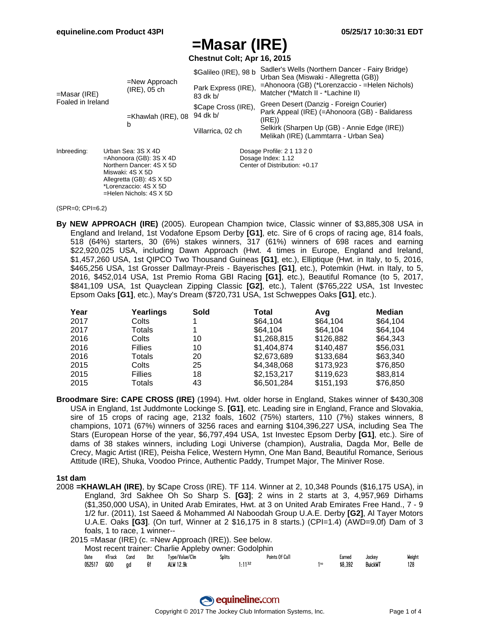**Chestnut Colt; Apr 16, 2015**

|                   |                    |                                                   | \$Galileo (IRE), 98 b           | Sadler's Wells (Northern Dancer - Fairy Bridge)<br>Urban Sea (Miswaki - Allegretta (GB))           |  |  |  |  |
|-------------------|--------------------|---------------------------------------------------|---------------------------------|----------------------------------------------------------------------------------------------------|--|--|--|--|
| $=$ Masar (IRE)   |                    | $=$ New Approach<br>$(IRE)$ , 05 ch               | Park Express (IRE),<br>83 dk b/ | =Ahonoora (GB) (*Lorenzaccio - =Helen Nichols)<br>Matcher (*Match II - *Lachine II)                |  |  |  |  |
| Foaled in Ireland |                    | $=$ Khawlah (IRE), 08                             | \$Cape Cross (IRE),<br>94 dk b/ | Green Desert (Danzig - Foreign Courier)<br>Park Appeal (IRE) (=Ahonoora (GB) - Balidaress<br>(IRE) |  |  |  |  |
|                   |                    | b                                                 | Villarrica, 02 ch               | Selkirk (Sharpen Up (GB) - Annie Edge (IRE))<br>Melikah (IRE) (Lammtarra - Urban Sea)              |  |  |  |  |
| Inbreeding:       | Urban Sea: 3S X 4D |                                                   |                                 | Dosage Profile: 2 1 13 2 0                                                                         |  |  |  |  |
|                   |                    | $=$ Ahonoora (GB): 3S $X$ 4D                      |                                 | Dosage Index: 1.12                                                                                 |  |  |  |  |
|                   |                    | Northern Dancer: 4S X 5D                          |                                 | Center of Distribution: +0.17                                                                      |  |  |  |  |
|                   |                    | Miswaki: 4S X 5D                                  |                                 |                                                                                                    |  |  |  |  |
|                   |                    | Allegretta (GB): 4S X 5D<br>*Lorenzaccio: 4S X 5D |                                 |                                                                                                    |  |  |  |  |
|                   |                    | $=$ Helen Nichols: 4S X 5D                        |                                 |                                                                                                    |  |  |  |  |
|                   |                    |                                                   |                                 |                                                                                                    |  |  |  |  |

#### (SPR=0; CPI=6.2)

**By NEW APPROACH (IRE)** (2005). European Champion twice, Classic winner of \$3,885,308 USA in England and Ireland, 1st Vodafone Epsom Derby **[G1]**, etc. Sire of 6 crops of racing age, 814 foals, 518 (64%) starters, 30 (6%) stakes winners, 317 (61%) winners of 698 races and earning \$22,920,025 USA, including Dawn Approach (Hwt. 4 times in Europe, England and Ireland, \$1,457,260 USA, 1st QIPCO Two Thousand Guineas **[G1]**, etc.), Elliptique (Hwt. in Italy, to 5, 2016, \$465,256 USA, 1st Grosser Dallmayr-Preis - Bayerisches **[G1]**, etc.), Potemkin (Hwt. in Italy, to 5, 2016, \$452,014 USA, 1st Premio Roma GBI Racing **[G1]**, etc.), Beautiful Romance (to 5, 2017, \$841,109 USA, 1st Quayclean Zipping Classic **[G2]**, etc.), Talent (\$765,222 USA, 1st Investec Epsom Oaks **[G1]**, etc.), May's Dream (\$720,731 USA, 1st Schweppes Oaks **[G1]**, etc.).

| Year | Yearlings      | Sold | Total       | Avq       | <b>Median</b> |
|------|----------------|------|-------------|-----------|---------------|
| 2017 | Colts          |      | \$64.104    | \$64.104  | \$64,104      |
| 2017 | Totals         |      | \$64.104    | \$64.104  | \$64.104      |
| 2016 | Colts          | 10   | \$1,268,815 | \$126,882 | \$64,343      |
| 2016 | <b>Fillies</b> | 10   | \$1,404,874 | \$140.487 | \$56,031      |
| 2016 | Totals         | 20   | \$2,673,689 | \$133,684 | \$63.340      |
| 2015 | Colts          | 25   | \$4,348,068 | \$173,923 | \$76,850      |
| 2015 | <b>Fillies</b> | 18   | \$2,153,217 | \$119,623 | \$83,814      |
| 2015 | Totals         | 43   | \$6,501,284 | \$151,193 | \$76,850      |

**Broodmare Sire: CAPE CROSS (IRE)** (1994). Hwt. older horse in England, Stakes winner of \$430,308 USA in England, 1st Juddmonte Lockinge S. **[G1]**, etc. Leading sire in England, France and Slovakia, sire of 15 crops of racing age, 2132 foals, 1602 (75%) starters, 110 (7%) stakes winners, 8 champions, 1071 (67%) winners of 3256 races and earning \$104,396,227 USA, including Sea The Stars (European Horse of the year, \$6,797,494 USA, 1st Investec Epsom Derby **[G1]**, etc.). Sire of dams of 38 stakes winners, including Logi Universe (champion), Australia, Dagda Mor, Belle de Crecy, Magic Artist (IRE), Peisha Felice, Western Hymn, One Man Band, Beautiful Romance, Serious Attitude (IRE), Shuka, Voodoo Prince, Authentic Paddy, Trumpet Major, The Miniver Rose.

#### **1st dam**

2008 **=KHAWLAH (IRE)**, by \$Cape Cross (IRE). TF 114. Winner at 2, 10,348 Pounds (\$16,175 USA), in England, 3rd Sakhee Oh So Sharp S. **[G3]**; 2 wins in 2 starts at 3, 4,957,969 Dirhams (\$1,350,000 USA), in United Arab Emirates, Hwt. at 3 on United Arab Emirates Free Hand., 7 - 9 1/2 fur. (2011), 1st Saeed & Mohammed Al Naboodah Group U.A.E. Derby **[G2]**, Al Tayer Motors U.A.E. Oaks **[G3]**. (On turf, Winner at 2 \$16,175 in 8 starts.) (CPI=1.4) (AWD=9.0f) Dam of 3 foals, 1 to race, 1 winner--

|            |        |      |      | Most recent trainer: Charlie Appleby owner: Godolphin |               |                |         |                |        |
|------------|--------|------|------|-------------------------------------------------------|---------------|----------------|---------|----------------|--------|
| Date       | #Track | Cond | Dist | Type/Value/Clm                                        | <b>Splits</b> | Points Of Call | Earned  | Jockev         | Weight |
| 052517 GOO |        | ad   | 6f   | ALW 12.9k                                             | 1.1132        |                | \$8.392 | <b>BuickWT</b> | 128    |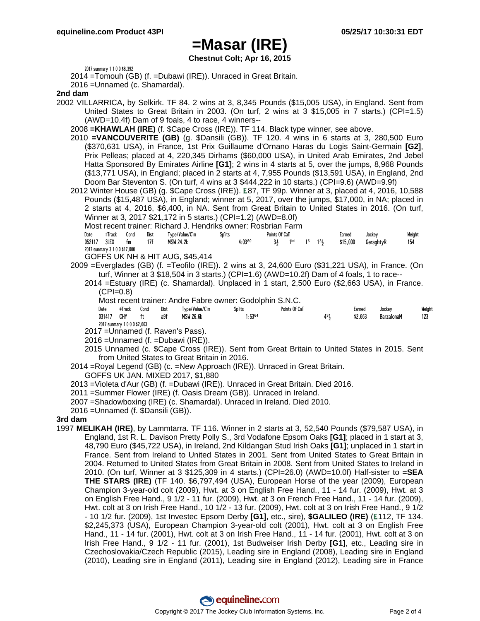**Chestnut Colt; Apr 16, 2015**

2017 summary 1 1 0 0 \$8,392

2014 =Tomouh (GB) (f. =Dubawi (IRE)). Unraced in Great Britain.

2016 =Unnamed (c. Shamardal).

#### **2nd dam**

- 2002 VILLARRICA, by Selkirk. TF 84. 2 wins at 3, 8,345 Pounds (\$15,005 USA), in England. Sent from United States to Great Britain in 2003. (On turf, 2 wins at 3 \$15,005 in 7 starts.) (CPI=1.5) (AWD=10.4f) Dam of 9 foals, 4 to race, 4 winners--
	- 2008 **=KHAWLAH (IRE)** (f. \$Cape Cross (IRE)). TF 114. Black type winner, see above.
	- 2010 **=VANCOUVERITE (GB)** (g. \$Dansili (GB)). TF 120. 4 wins in 6 starts at 3, 280,500 Euro (\$370,631 USA), in France, 1st Prix Guillaume d'Ornano Haras du Logis Saint-Germain **[G2]**, Prix Pelleas; placed at 4, 220,345 Dirhams (\$60,000 USA), in United Arab Emirates, 2nd Jebel Hatta Sponsored By Emirates Airline **[G1]**; 2 wins in 4 starts at 5, over the jumps, 8,968 Pounds (\$13,771 USA), in England; placed in 2 starts at 4, 7,955 Pounds (\$13,591 USA), in England, 2nd Doom Bar Steventon S. (On turf, 4 wins at 3 \$444,222 in 10 starts.) (CPI=9.6) (AWD=9.9f)
	- 2012 Winter House (GB) (g. \$Cape Cross (IRE)). 87, TF 99p. Winner at 3, placed at 4, 2016, 10,588 Pounds (\$15,487 USA), in England; winner at 5, 2017, over the jumps, \$17,000, in NA; placed in 2 starts at 4, 2016, \$6,400, in NA. Sent from Great Britain to United States in 2016. (On turf, Winner at 3, 2017 \$21,172 in 5 starts.) (CPI=1.2) (AWD=8.0f)

Most recent trainer: Richard J. Hendriks owner: Rosbrian Farm

| Date   | #Track                        | Cond | Dist | Type/Value/Clm                                                                                                                                                                                                                                                                                                                                                                       | <b>Splits</b> | Points Of Call |                                                                            |  |  | Earned | Jockey   | Weight    |     |
|--------|-------------------------------|------|------|--------------------------------------------------------------------------------------------------------------------------------------------------------------------------------------------------------------------------------------------------------------------------------------------------------------------------------------------------------------------------------------|---------------|----------------|----------------------------------------------------------------------------|--|--|--------|----------|-----------|-----|
| 052117 | 3LEX                          | tm   | 17f  | <b>MSW 24.2k</b>                                                                                                                                                                                                                                                                                                                                                                     |               | $4:03^{80}$    | $3\frac{1}{2}$ 1 <sup>hd</sup> 1 <sup>5</sup> 1 <sup>3</sup> $\frac{1}{2}$ |  |  |        | \$15,000 | GeraghtyR | 154 |
|        | 2017 summary 3 1 0 0 \$17,000 |      |      | $\overline{O}$ $\overline{O}$ $\overline{O}$ $\overline{O}$ $\overline{O}$ $\overline{O}$ $\overline{O}$ $\overline{O}$ $\overline{O}$ $\overline{O}$ $\overline{O}$ $\overline{O}$ $\overline{O}$ $\overline{O}$ $\overline{O}$ $\overline{O}$ $\overline{O}$ $\overline{O}$ $\overline{O}$ $\overline{O}$ $\overline{O}$ $\overline{O}$ $\overline{O}$ $\overline{O}$ $\overline{$ |               |                |                                                                            |  |  |        |          |           |     |

GOFFS UK NH & HIT AUG, \$45,414

- 2009 =Everglades (GB) (f. =Teofilo (IRE)). 2 wins at 3, 24,600 Euro (\$31,221 USA), in France. (On turf, Winner at 3 \$18,504 in 3 starts.) (CPI=1.6) (AWD=10.2f) Dam of 4 foals, 1 to race--
	- 2014 =Estuary (IRE) (c. Shamardal). Unplaced in 1 start, 2,500 Euro (\$2,663 USA), in France.  $(CPI=0.8)$

Most recent trainer: Andre Fabre owner: Godolphin S.N.C.

| Date   | #Track                       | Cond | Dist | Type/Value/Clm   | Splits      | Points Of Call | Earned  | Jockey     | Weight |
|--------|------------------------------|------|------|------------------|-------------|----------------|---------|------------|--------|
| 031417 | CHY                          | ft   | a9f  | <b>MSW 26.6k</b> | $1:53^{64}$ |                | \$2.663 | BarzalonaM |        |
|        | 2017 summary 1 0 0 0 \$2,663 |      |      |                  |             |                |         |            |        |
|        | – <i></i> . <i>.</i>         |      |      | $\blacksquare$   |             |                |         |            |        |

- 2017 =Unnamed (f. Raven's Pass).
- 2016 =Unnamed (f. =Dubawi (IRE)).
- 2015 Unnamed (c. \$Cape Cross (IRE)). Sent from Great Britain to United States in 2015. Sent from United States to Great Britain in 2016.
- 2014 =Royal Legend (GB) (c. =New Approach (IRE)). Unraced in Great Britain.
	- GOFFS UK JAN. MIXED 2017, \$1,880
- 2013 =Violeta d'Aur (GB) (f. =Dubawi (IRE)). Unraced in Great Britain. Died 2016.
- 2011 =Summer Flower (IRE) (f. Oasis Dream (GB)). Unraced in Ireland.
- 2007 =Shadowboxing (IRE) (c. Shamardal). Unraced in Ireland. Died 2010.
- 2016 =Unnamed (f. \$Dansili (GB)).

#### **3rd dam**

1997 **MELIKAH (IRE)**, by Lammtarra. TF 116. Winner in 2 starts at 3, 52,540 Pounds (\$79,587 USA), in England, 1st R. L. Davison Pretty Polly S., 3rd Vodafone Epsom Oaks **[G1]**; placed in 1 start at 3, 48,790 Euro (\$45,722 USA), in Ireland, 2nd Kildangan Stud Irish Oaks **[G1]**; unplaced in 1 start in France. Sent from Ireland to United States in 2001. Sent from United States to Great Britain in 2004. Returned to United States from Great Britain in 2008. Sent from United States to Ireland in 2010. (On turf, Winner at 3 \$125,309 in 4 starts.) (CPI=26.0) (AWD=10.0f) Half-sister to **=SEA THE STARS (IRE)** (TF 140. \$6,797,494 (USA), European Horse of the year (2009), European Champion 3-year-old colt (2009), Hwt. at 3 on English Free Hand., 11 - 14 fur. (2009), Hwt. at 3 on English Free Hand., 9 1/2 - 11 fur. (2009), Hwt. at 3 on French Free Hand., 11 - 14 fur. (2009), Hwt. colt at 3 on Irish Free Hand., 10 1/2 - 13 fur. (2009), Hwt. colt at 3 on Irish Free Hand., 9 1/2 - 10 1/2 fur. (2009), 1st Investec Epsom Derby **[G1]**, etc., sire), **\$GALILEO (IRE)** ( 112, TF 134. \$2,245,373 (USA), European Champion 3-year-old colt (2001), Hwt. colt at 3 on English Free Hand., 11 - 14 fur. (2001), Hwt. colt at 3 on Irish Free Hand., 11 - 14 fur. (2001), Hwt. colt at 3 on Irish Free Hand., 9 1/2 - 11 fur. (2001), 1st Budweiser Irish Derby **[G1]**, etc., Leading sire in Czechoslovakia/Czech Republic (2015), Leading sire in England (2008), Leading sire in England (2010), Leading sire in England (2011), Leading sire in England (2012), Leading sire in France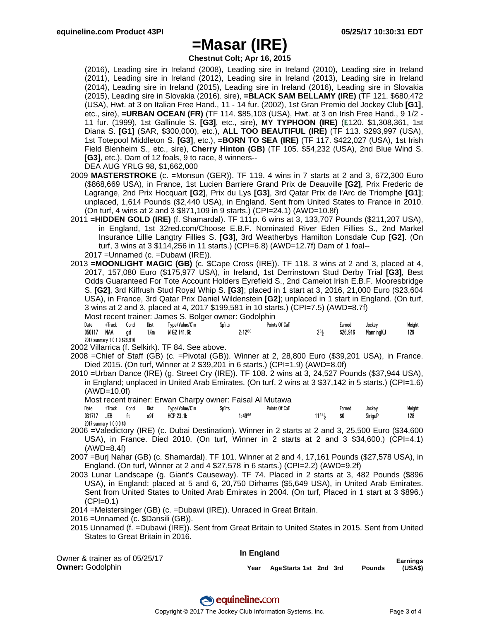**Chestnut Colt; Apr 16, 2015**

(2016), Leading sire in Ireland (2008), Leading sire in Ireland (2010), Leading sire in Ireland (2011), Leading sire in Ireland (2012), Leading sire in Ireland (2013), Leading sire in Ireland (2014), Leading sire in Ireland (2015), Leading sire in Ireland (2016), Leading sire in Slovakia (2015), Leading sire in Slovakia (2016). sire), **=BLACK SAM BELLAMY (IRE)** (TF 121. \$680,472 (USA), Hwt. at 3 on Italian Free Hand., 11 - 14 fur. (2002), 1st Gran Premio del Jockey Club **[G1]**, etc., sire), **=URBAN OCEAN (FR)** (TF 114. \$85,103 (USA), Hwt. at 3 on Irish Free Hand., 9 1/2 - 11 fur. (1999), 1st Gallinule S. **[G3]**, etc., sire), **MY TYPHOON (IRE)** ( 120. \$1,308,361, 1st Diana S. **[G1]** (SAR, \$300,000), etc.), **ALL TOO BEAUTIFUL (IRE)** (TF 113. \$293,997 (USA), 1st Totepool Middleton S. **[G3]**, etc.), **=BORN TO SEA (IRE)** (TF 117. \$422,027 (USA), 1st Irish Field Blenheim S., etc., sire), **Cherry Hinton (GB)** (TF 105. \$54,232 (USA), 2nd Blue Wind S. **[G3]**, etc.). Dam of 12 foals, 9 to race, 8 winners--

- DEA AUG YRLG 98, \$1,662,000
- 2009 **MASTERSTROKE** (c. =Monsun (GER)). TF 119. 4 wins in 7 starts at 2 and 3, 672,300 Euro (\$868,669 USA), in France, 1st Lucien Barriere Grand Prix de Deauville **[G2]**, Prix Frederic de Lagrange, 2nd Prix Hocquart **[G2]**, Prix du Lys **[G3]**, 3rd Qatar Prix de l'Arc de Triomphe **[G1]**; unplaced, 1,614 Pounds (\$2,440 USA), in England. Sent from United States to France in 2010. (On turf, 4 wins at 2 and 3 \$871,109 in 9 starts.) (CPI=24.1) (AWD=10.8f)
- 2011 **=HIDDEN GOLD (IRE)** (f. Shamardal). TF 111p. 6 wins at 3, 133,707 Pounds (\$211,207 USA), in England, 1st 32red.com/Choose E.B.F. Nominated River Eden Fillies S., 2nd Markel Insurance Lillie Langtry Fillies S. **[G3]**, 3rd Weatherbys Hamilton Lonsdale Cup **[G2]**. (On turf, 3 wins at 3 \$114,256 in 11 starts.) (CPI=6.8) (AWD=12.7f) Dam of 1 foal--

2017 =Unnamed (c. =Dubawi (IRE)).

2013 **=MOONLIGHT MAGIC (GB)** (c. \$Cape Cross (IRE)). TF 118. 3 wins at 2 and 3, placed at 4, 2017, 157,080 Euro (\$175,977 USA), in Ireland, 1st Derrinstown Stud Derby Trial **[G3]**, Best Odds Guaranteed For Tote Account Holders Eyrefield S., 2nd Camelot Irish E.B.F. Mooresbridge S. **[G2]**, 3rd Kilfrush Stud Royal Whip S. **[G3]**; placed in 1 start at 3, 2016, 21,000 Euro (\$23,604 USA), in France, 3rd Qatar Prix Daniel Wildenstein **[G2]**; unplaced in 1 start in England. (On turf, 3 wins at 2 and 3, placed at 4, 2017 \$199,581 in 10 starts.) (CPI=7.5) (AWD=8.7f)

Most recent trainer: James S. Bolger owner: Godolphin

| Date   | #Track                        | Cond | Dist                    | Type/Value/Clm | Splits      | Points Of Call |          | Earned   | Jockey    | Weight |
|--------|-------------------------------|------|-------------------------|----------------|-------------|----------------|----------|----------|-----------|--------|
| 050117 | NAA                           | ad o | $1\text{\textdegree m}$ | W G2 141.6k    | $2:12^{80}$ |                | $2^{31}$ | \$26,916 | ManningKJ | 129    |
|        | 2017 summary 1 0 1 0 \$26,916 |      |                         |                |             |                |          |          |           |        |

2002 Villarrica (f. Selkirk). TF 84. See above.

- 2008 =Chief of Staff (GB) (c. =Pivotal (GB)). Winner at 2, 28,800 Euro (\$39,201 USA), in France. Died 2015. (On turf, Winner at 2 \$39,201 in 6 starts.) (CPI=1.9) (AWD=8.0f)
- 2010 =Urban Dance (IRE) (g. Street Cry (IRE)). TF 108. 2 wins at 3, 24,527 Pounds (\$37,944 USA), in England; unplaced in United Arab Emirates. (On turf, 2 wins at 3 \$37,142 in 5 starts.) (CPI=1.6) (AWD=10.0f)

|            |                          |      |      | Most recent trainer: Erwan Charpy owner: Faisal Al Mutawa |        |                |       |        |                |        |
|------------|--------------------------|------|------|-----------------------------------------------------------|--------|----------------|-------|--------|----------------|--------|
| Date       | #Track                   | Cond | Dist | Type/Value/Clm                                            | Splits | Points Of Call |       | Earned | Jockey         | Weight |
| 031717 JEB |                          |      | a9f  | HCP 23.1k                                                 | 1.4996 |                | 11241 | \$0    | <b>SiriauP</b> | 128    |
|            | 2017 summary 1 0 0 0 \$0 |      |      |                                                           |        |                |       |        |                |        |

2006 =Valedictory (IRE) (c. Dubai Destination). Winner in 2 starts at 2 and 3, 25,500 Euro (\$34,600 USA), in France. Died 2010. (On turf, Winner in 2 starts at 2 and 3 \$34,600.) (CPI=4.1) (AWD=8.4f)

2007 =Burj Nahar (GB) (c. Shamardal). TF 101. Winner at 2 and 4, 17,161 Pounds (\$27,578 USA), in England. (On turf, Winner at 2 and 4 \$27,578 in 6 starts.) (CPI=2.2) (AWD=9.2f)

- 2003 Lunar Landscape (g. Giant's Causeway). TF 74. Placed in 2 starts at 3, 482 Pounds (\$896 USA), in England; placed at 5 and 6, 20,750 Dirhams (\$5,649 USA), in United Arab Emirates. Sent from United States to United Arab Emirates in 2004. (On turf, Placed in 1 start at 3 \$896.)  $(CPI=0.1)$
- 2014 =Meistersinger (GB) (c. =Dubawi (IRE)). Unraced in Great Britain.
- 2016 =Unnamed (c. \$Dansili (GB)).
- 2015 Unnamed (f. =Dubawi (IRE)). Sent from Great Britain to United States in 2015. Sent from United States to Great Britain in 2016.

Owner & trainer as of 05/25/17 **Owner:** Godolphin

#### **In England**

**Year AgeStarts 1st 2nd 3rd Pounds Earnings (USA\$)**